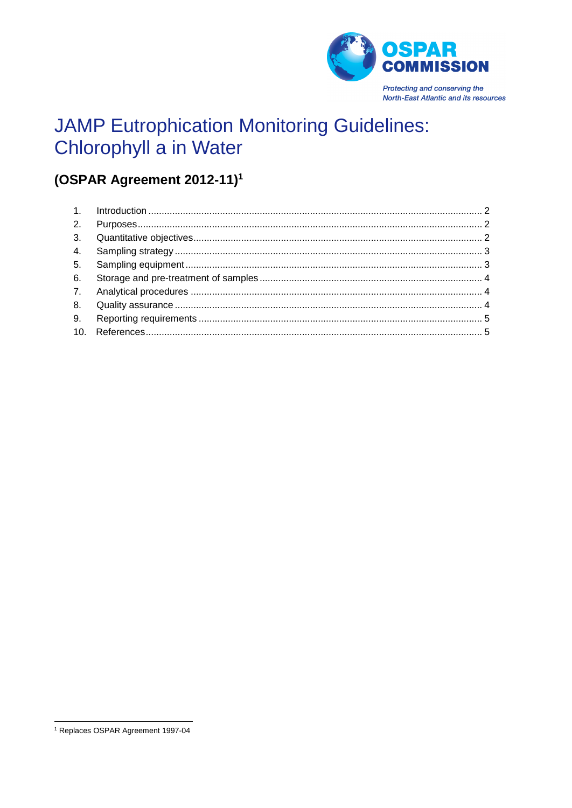

# **JAMP Eutrophication Monitoring Guidelines:** Chlorophyll a in Water

## (OSPAR Agreement 2012-11)<sup>1</sup>

<sup>&</sup>lt;sup>1</sup> Replaces OSPAR Agreement 1997-04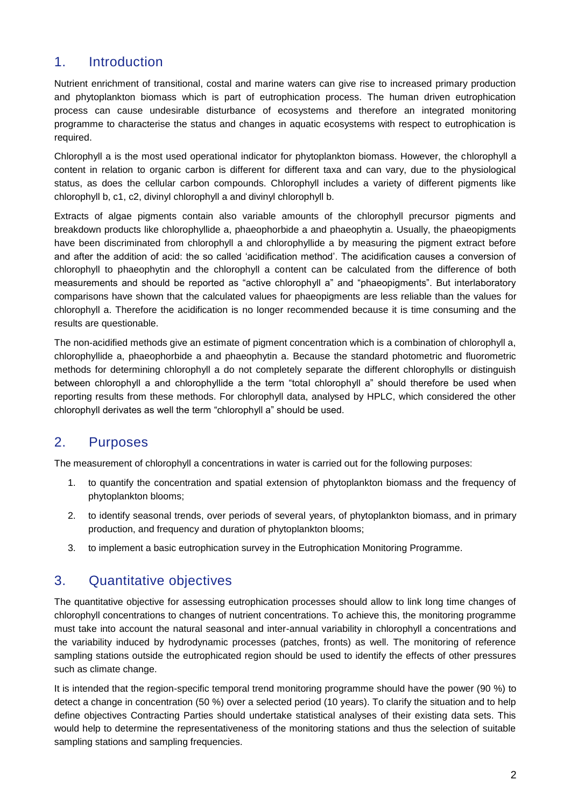## <span id="page-1-0"></span>1. Introduction

Nutrient enrichment of transitional, costal and marine waters can give rise to increased primary production and phytoplankton biomass which is part of eutrophication process. The human driven eutrophication process can cause undesirable disturbance of ecosystems and therefore an integrated monitoring programme to characterise the status and changes in aquatic ecosystems with respect to eutrophication is required.

Chlorophyll a is the most used operational indicator for phytoplankton biomass. However, the chlorophyll a content in relation to organic carbon is different for different taxa and can vary, due to the physiological status, as does the cellular carbon compounds. Chlorophyll includes a variety of different pigments like chlorophyll b, c1, c2, divinyl chlorophyll a and divinyl chlorophyll b.

Extracts of algae pigments contain also variable amounts of the chlorophyll precursor pigments and breakdown products like chlorophyllide a, phaeophorbide a and phaeophytin a. Usually, the phaeopigments have been discriminated from chlorophyll a and chlorophyllide a by measuring the pigment extract before and after the addition of acid: the so called 'acidification method'. The acidification causes a conversion of chlorophyll to phaeophytin and the chlorophyll a content can be calculated from the difference of both measurements and should be reported as "active chlorophyll a" and "phaeopigments". But interlaboratory comparisons have shown that the calculated values for phaeopigments are less reliable than the values for chlorophyll a. Therefore the acidification is no longer recommended because it is time consuming and the results are questionable.

The non-acidified methods give an estimate of pigment concentration which is a combination of chlorophyll a, chlorophyllide a, phaeophorbide a and phaeophytin a. Because the standard photometric and fluorometric methods for determining chlorophyll a do not completely separate the different chlorophylls or distinguish between chlorophyll a and chlorophyllide a the term "total chlorophyll a" should therefore be used when reporting results from these methods. For chlorophyll data, analysed by HPLC, which considered the other chlorophyll derivates as well the term "chlorophyll a" should be used.

## <span id="page-1-1"></span>2. Purposes

The measurement of chlorophyll a concentrations in water is carried out for the following purposes:

- 1. to quantify the concentration and spatial extension of phytoplankton biomass and the frequency of phytoplankton blooms;
- 2. to identify seasonal trends, over periods of several years, of phytoplankton biomass, and in primary production, and frequency and duration of phytoplankton blooms;
- 3. to implement a basic eutrophication survey in the Eutrophication Monitoring Programme.

#### <span id="page-1-2"></span>3. Quantitative objectives

The quantitative objective for assessing eutrophication processes should allow to link long time changes of chlorophyll concentrations to changes of nutrient concentrations. To achieve this, the monitoring programme must take into account the natural seasonal and inter-annual variability in chlorophyll a concentrations and the variability induced by hydrodynamic processes (patches, fronts) as well. The monitoring of reference sampling stations outside the eutrophicated region should be used to identify the effects of other pressures such as climate change.

It is intended that the region-specific temporal trend monitoring programme should have the power (90 %) to detect a change in concentration (50 %) over a selected period (10 years). To clarify the situation and to help define objectives Contracting Parties should undertake statistical analyses of their existing data sets. This would help to determine the representativeness of the monitoring stations and thus the selection of suitable sampling stations and sampling frequencies.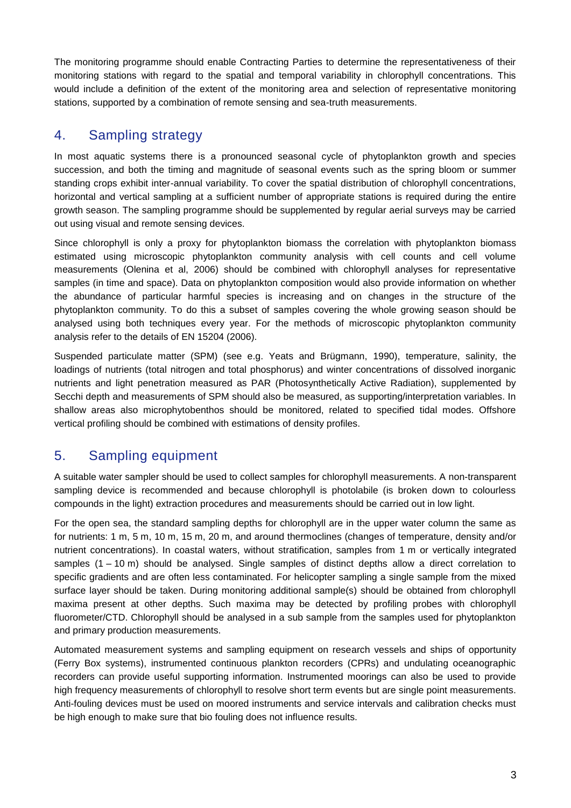The monitoring programme should enable Contracting Parties to determine the representativeness of their monitoring stations with regard to the spatial and temporal variability in chlorophyll concentrations. This would include a definition of the extent of the monitoring area and selection of representative monitoring stations, supported by a combination of remote sensing and sea-truth measurements.

## <span id="page-2-0"></span>4. Sampling strategy

In most aquatic systems there is a pronounced seasonal cycle of phytoplankton growth and species succession, and both the timing and magnitude of seasonal events such as the spring bloom or summer standing crops exhibit inter-annual variability. To cover the spatial distribution of chlorophyll concentrations, horizontal and vertical sampling at a sufficient number of appropriate stations is required during the entire growth season. The sampling programme should be supplemented by regular aerial surveys may be carried out using visual and remote sensing devices.

Since chlorophyll is only a proxy for phytoplankton biomass the correlation with phytoplankton biomass estimated using microscopic phytoplankton community analysis with cell counts and cell volume measurements (Olenina et al, 2006) should be combined with chlorophyll analyses for representative samples (in time and space). Data on phytoplankton composition would also provide information on whether the abundance of particular harmful species is increasing and on changes in the structure of the phytoplankton community. To do this a subset of samples covering the whole growing season should be analysed using both techniques every year. For the methods of microscopic phytoplankton community analysis refer to the details of EN 15204 (2006).

Suspended particulate matter (SPM) (see e.g. Yeats and Brügmann, 1990), temperature, salinity, the loadings of nutrients (total nitrogen and total phosphorus) and winter concentrations of dissolved inorganic nutrients and light penetration measured as PAR (Photosynthetically Active Radiation), supplemented by Secchi depth and measurements of SPM should also be measured, as supporting/interpretation variables. In shallow areas also microphytobenthos should be monitored, related to specified tidal modes. Offshore vertical profiling should be combined with estimations of density profiles.

## <span id="page-2-1"></span>5. Sampling equipment

A suitable water sampler should be used to collect samples for chlorophyll measurements. A non-transparent sampling device is recommended and because chlorophyll is photolabile (is broken down to colourless compounds in the light) extraction procedures and measurements should be carried out in low light.

For the open sea, the standard sampling depths for chlorophyll are in the upper water column the same as for nutrients: 1 m, 5 m, 10 m, 15 m, 20 m, and around thermoclines (changes of temperature, density and/or nutrient concentrations). In coastal waters, without stratification, samples from 1 m or vertically integrated samples (1 – 10 m) should be analysed. Single samples of distinct depths allow a direct correlation to specific gradients and are often less contaminated. For helicopter sampling a single sample from the mixed surface layer should be taken. During monitoring additional sample(s) should be obtained from chlorophyll maxima present at other depths. Such maxima may be detected by profiling probes with chlorophyll fluorometer/CTD. Chlorophyll should be analysed in a sub sample from the samples used for phytoplankton and primary production measurements.

Automated measurement systems and sampling equipment on research vessels and ships of opportunity (Ferry Box systems), instrumented continuous plankton recorders (CPRs) and undulating oceanographic recorders can provide useful supporting information. Instrumented moorings can also be used to provide high frequency measurements of chlorophyll to resolve short term events but are single point measurements. Anti-fouling devices must be used on moored instruments and service intervals and calibration checks must be high enough to make sure that bio fouling does not influence results.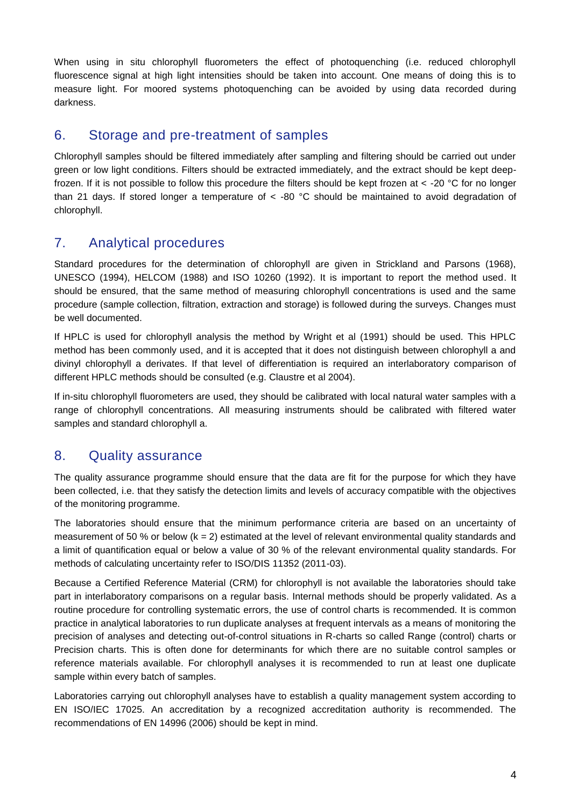When using in situ chlorophyll fluorometers the effect of photoquenching (i.e. reduced chlorophyll fluorescence signal at high light intensities should be taken into account. One means of doing this is to measure light. For moored systems photoquenching can be avoided by using data recorded during darkness.

### <span id="page-3-0"></span>6. Storage and pre-treatment of samples

Chlorophyll samples should be filtered immediately after sampling and filtering should be carried out under green or low light conditions. Filters should be extracted immediately, and the extract should be kept deepfrozen. If it is not possible to follow this procedure the filters should be kept frozen at < -20 °C for no longer than 21 days. If stored longer a temperature of < -80 °C should be maintained to avoid degradation of chlorophyll.

#### <span id="page-3-1"></span>7. Analytical procedures

Standard procedures for the determination of chlorophyll are given in Strickland and Parsons (1968), UNESCO (1994), HELCOM (1988) and ISO 10260 (1992). It is important to report the method used. It should be ensured, that the same method of measuring chlorophyll concentrations is used and the same procedure (sample collection, filtration, extraction and storage) is followed during the surveys. Changes must be well documented.

If HPLC is used for chlorophyll analysis the method by Wright et al (1991) should be used. This HPLC method has been commonly used, and it is accepted that it does not distinguish between chlorophyll a and divinyl chlorophyll a derivates. If that level of differentiation is required an interlaboratory comparison of different HPLC methods should be consulted (e.g. Claustre et al 2004).

If in-situ chlorophyll fluorometers are used, they should be calibrated with local natural water samples with a range of chlorophyll concentrations. All measuring instruments should be calibrated with filtered water samples and standard chlorophyll a.

#### <span id="page-3-2"></span>8. Quality assurance

The quality assurance programme should ensure that the data are fit for the purpose for which they have been collected, i.e. that they satisfy the detection limits and levels of accuracy compatible with the objectives of the monitoring programme.

The laboratories should ensure that the minimum performance criteria are based on an uncertainty of measurement of 50 % or below  $(k = 2)$  estimated at the level of relevant environmental quality standards and a limit of quantification equal or below a value of 30 % of the relevant environmental quality standards. For methods of calculating uncertainty refer to ISO/DIS 11352 (2011-03).

Because a Certified Reference Material (CRM) for chlorophyll is not available the laboratories should take part in interlaboratory comparisons on a regular basis. Internal methods should be properly validated. As a routine procedure for controlling systematic errors, the use of control charts is recommended. It is common practice in analytical laboratories to run duplicate analyses at frequent intervals as a means of monitoring the precision of analyses and detecting out-of-control situations in R-charts so called Range (control) charts or Precision charts. This is often done for determinants for which there are no suitable control samples or reference materials available. For chlorophyll analyses it is recommended to run at least one duplicate sample within every batch of samples.

Laboratories carrying out chlorophyll analyses have to establish a quality management system according to EN ISO/IEC 17025. An accreditation by a recognized accreditation authority is recommended. The recommendations of EN 14996 (2006) should be kept in mind.